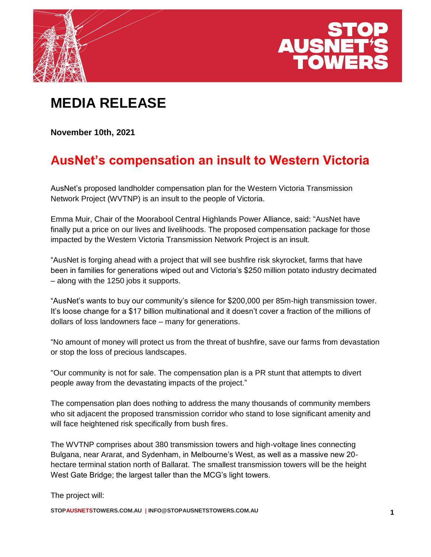



## **MEDIA RELEASE**

**November 10th, 2021**

## **AusNet's compensation an insult to Western Victoria**

AusNet's proposed landholder compensation plan for the Western Victoria Transmission Network Project (WVTNP) is an insult to the people of Victoria.

Emma Muir, Chair of the Moorabool Central Highlands Power Alliance, said: "AusNet have finally put a price on our lives and livelihoods. The proposed compensation package for those impacted by the Western Victoria Transmission Network Project is an insult.

"AusNet is forging ahead with a project that will see bushfire risk skyrocket, farms that have been in families for generations wiped out and Victoria's \$250 million potato industry decimated – along with the 1250 jobs it supports.

"AusNet's wants to buy our community's silence for \$200,000 per 85m-high transmission tower. It's loose change for a \$17 billion multinational and it doesn't cover a fraction of the millions of dollars of loss landowners face – many for generations.

"No amount of money will protect us from the threat of bushfire, save our farms from devastation or stop the loss of precious landscapes.

"Our community is not for sale. The compensation plan is a PR stunt that attempts to divert people away from the devastating impacts of the project."

The compensation plan does nothing to address the many thousands of community members who sit adjacent the proposed transmission corridor who stand to lose significant amenity and will face heightened risk specifically from bush fires.

The WVTNP comprises about 380 transmission towers and high-voltage lines connecting Bulgana, near Ararat, and Sydenham, in Melbourne's West, as well as a massive new 20 hectare terminal station north of Ballarat. The smallest transmission towers will be the height West Gate Bridge; the largest taller than the MCG's light towers.

The project will:

**STOPAUSNETSTOWERS.COM.AU | INFO@STOPAUSNETSTOWERS.COM.AU 1**